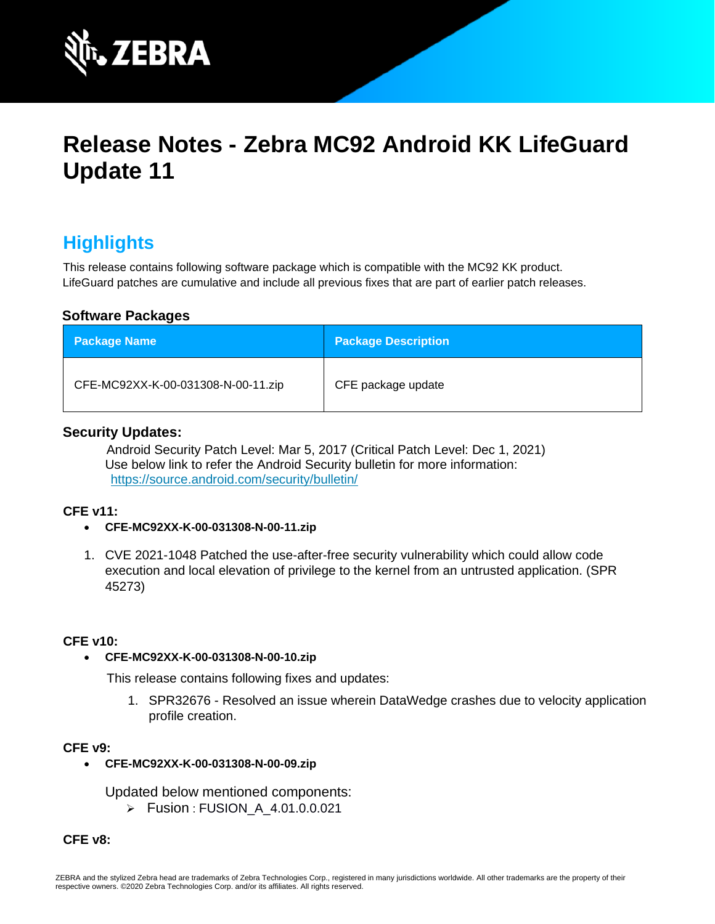

# **Release Notes - Zebra MC92 Android KK LifeGuard Update 11**

# **Highlights**

This release contains following software package which is compatible with the MC92 KK product. LifeGuard patches are cumulative and include all previous fixes that are part of earlier patch releases.

# **Software Packages**

| <b>Package Name</b>                | <b>Package Description</b> |
|------------------------------------|----------------------------|
| CFE-MC92XX-K-00-031308-N-00-11.zip | CFE package update         |

# **Security Updates:**

Android Security Patch Level: Mar 5, 2017 (Critical Patch Level: Dec 1, 2021) Use below link to refer the Android Security bulletin for more information: <https://source.android.com/security/bulletin/>

### **CFE v11:**

### • **CFE-MC92XX-K-00-031308-N-00-11.zip**

1. CVE 2021-1048 Patched the use-after-free security vulnerability which could allow code execution and local elevation of privilege to the kernel from an untrusted application. (SPR 45273)

### **CFE v10:**

### • **CFE-MC92XX-K-00-031308-N-00-10.zip**

This release contains following fixes and updates:

1. SPR32676 - Resolved an issue wherein DataWedge crashes due to velocity application profile creation.

### **CFE v9:**

• **CFE-MC92XX-K-00-031308-N-00-09.zip**

Updated below mentioned components:

➢ Fusion : FUSION\_A\_4.01.0.0.021

**CFE v8:**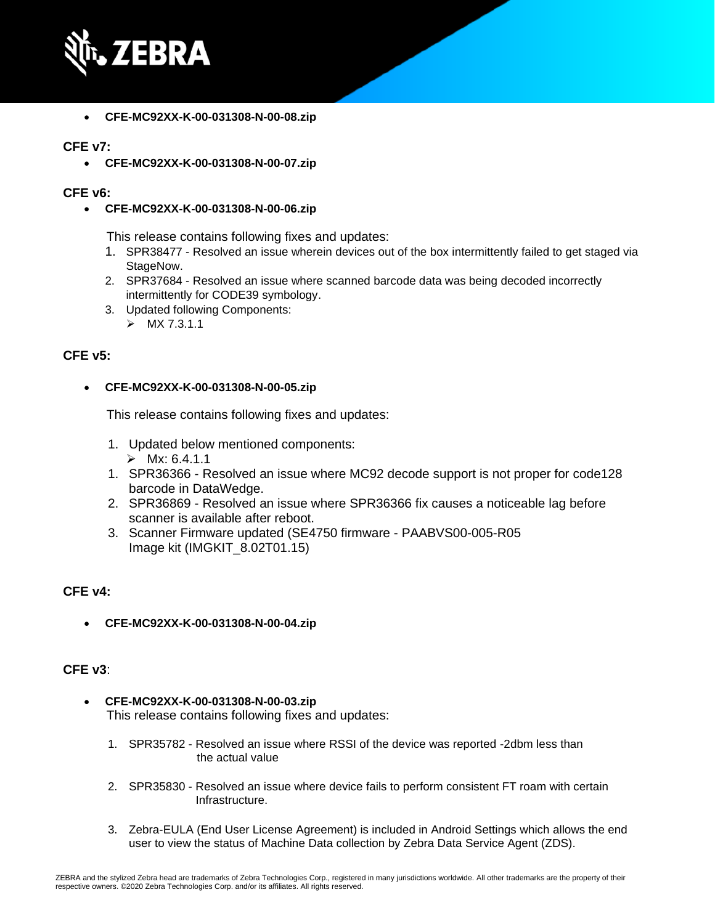

• **CFE-MC92XX-K-00-031308-N-00-08.zip**

## **CFE v7:**

• **CFE-MC92XX-K-00-031308-N-00-07.zip**

#### **CFE v6:**

• **CFE-MC92XX-K-00-031308-N-00-06.zip**

This release contains following fixes and updates:

- 1. SPR38477 Resolved an issue wherein devices out of the box intermittently failed to get staged via StageNow.
- 2. SPR37684 Resolved an issue where scanned barcode data was being decoded incorrectly intermittently for CODE39 symbology.
- 3. Updated following Components:
	- $>$  MX 7.3.1.1

### **CFE v5:**

#### • **CFE-MC92XX-K-00-031308-N-00-05.zip**

This release contains following fixes and updates:

- 1. Updated below mentioned components:  $\triangleright$  Mx: 6.4.1.1
- 1. SPR36366 Resolved an issue where MC92 decode support is not proper for code128 barcode in DataWedge.
- 2. SPR36869 Resolved an issue where SPR36366 fix causes a noticeable lag before scanner is available after reboot.
- 3. Scanner Firmware updated (SE4750 firmware PAABVS00-005-R05 Image kit (IMGKIT\_8.02T01.15)

# **CFE v4:**

• **CFE-MC92XX-K-00-031308-N-00-04.zip**

### **CFE v3**:

- **CFE-MC92XX-K-00-031308-N-00-03.zip** This release contains following fixes and updates:
	- 1. SPR35782 Resolved an issue where RSSI of the device was reported -2dbm less than the actual value
	- 2. SPR35830 Resolved an issue where device fails to perform consistent FT roam with certain Infrastructure.
	- 3. Zebra-EULA (End User License Agreement) is included in Android Settings which allows the end user to view the status of Machine Data collection by Zebra Data Service Agent (ZDS).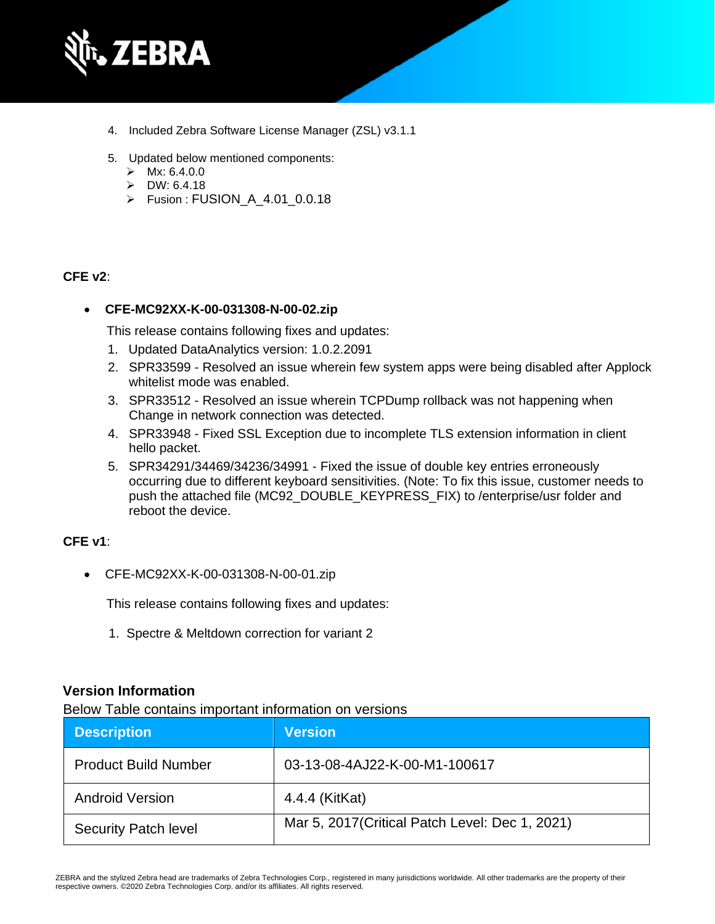

- 4. Included Zebra Software License Manager (ZSL) v3.1.1
- 5. Updated below mentioned components:
	- $>$  Mx: 6.4.0.0
	- $\triangleright$  DW: 6.4.18
	- ➢ Fusion : FUSION\_A\_4.01\_0.0.18

### **CFE v2**:

### • **CFE-MC92XX-K-00-031308-N-00-02.zip**

This release contains following fixes and updates:

- 1. Updated DataAnalytics version: 1.0.2.2091
- 2. SPR33599 Resolved an issue wherein few system apps were being disabled after Applock whitelist mode was enabled.
- 3. SPR33512 Resolved an issue wherein TCPDump rollback was not happening when Change in network connection was detected.
- 4. SPR33948 Fixed SSL Exception due to incomplete TLS extension information in client hello packet.
- 5. SPR34291/34469/34236/34991 Fixed the issue of double key entries erroneously occurring due to different keyboard sensitivities. (Note: To fix this issue, customer needs to push the attached file (MC92\_DOUBLE\_KEYPRESS\_FIX) to /enterprise/usr folder and reboot the device.

# **CFE v1**:

• CFE-MC92XX-K-00-031308-N-00-01.zip

This release contains following fixes and updates:

1. Spectre & Meltdown correction for variant 2

# **Version Information**

Below Table contains important information on versions

| <b>Description</b>          | <b>Version</b>                                  |
|-----------------------------|-------------------------------------------------|
| <b>Product Build Number</b> | 03-13-08-4AJ22-K-00-M1-100617                   |
| <b>Android Version</b>      | 4.4.4 (KitKat)                                  |
| <b>Security Patch level</b> | Mar 5, 2017 (Critical Patch Level: Dec 1, 2021) |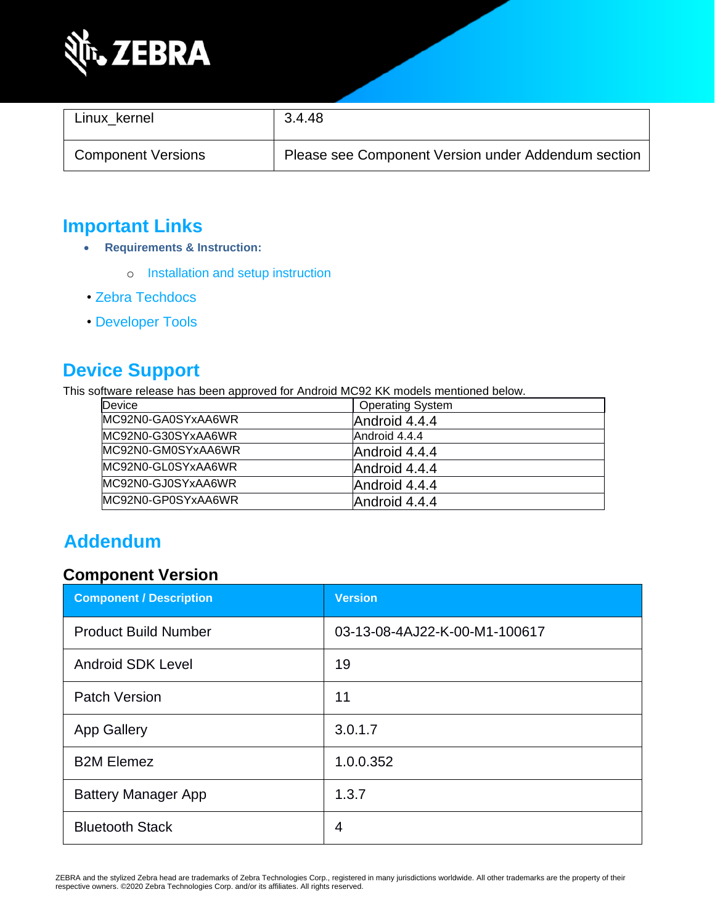

| Linux kernel              | 3.4.48                                              |
|---------------------------|-----------------------------------------------------|
| <b>Component Versions</b> | Please see Component Version under Addendum section |

# **Important Links**

- **Requirements & Instruction:**
	- o [Installation and setup instruction](https://www.zebra.com/content/dam/zebra_new_ia/en-us/software/operating-system/mc9200-operating-system/MC92-KK-os-update-instructions.pdf)
- • [Zebra Techdocs](https://techdocs.zebra.com/)
- • [Developer Tools](https://developer.zebra.com/)

# **Device Support**

This software release has been approved for Android MC92 KK models mentioned below.

| Device             | <b>Operating System</b> |  |
|--------------------|-------------------------|--|
| MC92N0-GA0SYxAA6WR | Android 4.4.4           |  |
| MC92N0-G30SYxAA6WR | Android 4.4.4           |  |
| MC92N0-GM0SYxAA6WR | Android 4.4.4           |  |
| MC92N0-GL0SYxAA6WR | Android 4.4.4           |  |
| MC92N0-GJ0SYxAA6WR | Android 4.4.4           |  |
| MC92N0-GP0SYxAA6WR | Android 4.4.4           |  |

# **Addendum**

# **Component Version**

| <b>Component / Description</b> | <b>Version</b>                |
|--------------------------------|-------------------------------|
| <b>Product Build Number</b>    | 03-13-08-4AJ22-K-00-M1-100617 |
| <b>Android SDK Level</b>       | 19                            |
| <b>Patch Version</b>           | 11                            |
| <b>App Gallery</b>             | 3.0.1.7                       |
| <b>B2M Elemez</b>              | 1.0.0.352                     |
| <b>Battery Manager App</b>     | 1.3.7                         |
| <b>Bluetooth Stack</b>         | 4                             |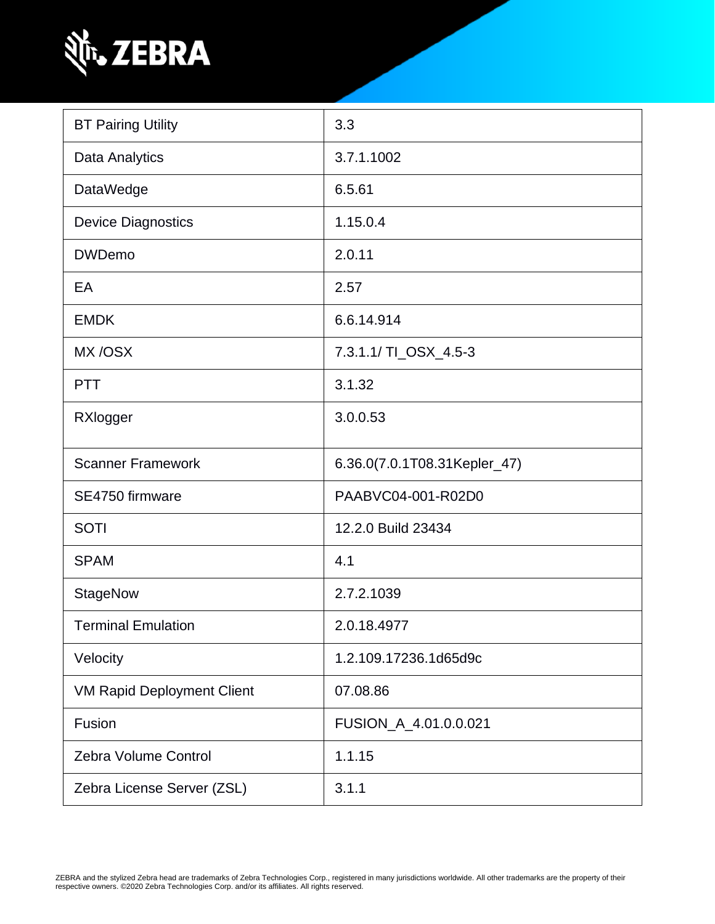

| <b>BT Pairing Utility</b>         | 3.3                          |  |
|-----------------------------------|------------------------------|--|
| Data Analytics                    | 3.7.1.1002                   |  |
| <b>DataWedge</b>                  | 6.5.61                       |  |
| <b>Device Diagnostics</b>         | 1.15.0.4                     |  |
| <b>DWDemo</b>                     | 2.0.11                       |  |
| EA                                | 2.57                         |  |
| <b>EMDK</b>                       | 6.6.14.914                   |  |
| MX/OSX                            | 7.3.1.1/ TI_OSX_4.5-3        |  |
| <b>PTT</b>                        | 3.1.32                       |  |
| RXlogger                          | 3.0.0.53                     |  |
| <b>Scanner Framework</b>          | 6.36.0(7.0.1T08.31Kepler_47) |  |
| SE4750 firmware                   | PAABVC04-001-R02D0           |  |
| <b>SOTI</b>                       | 12.2.0 Build 23434           |  |
| <b>SPAM</b>                       | 4.1                          |  |
| <b>StageNow</b>                   | 2.7.2.1039                   |  |
| <b>Terminal Emulation</b>         | 2.0.18.4977                  |  |
| Velocity                          | 1.2.109.17236.1d65d9c        |  |
| <b>VM Rapid Deployment Client</b> | 07.08.86                     |  |
| Fusion                            | FUSION_A_4.01.0.0.021        |  |
| Zebra Volume Control              | 1.1.15                       |  |
| Zebra License Server (ZSL)        | 3.1.1                        |  |